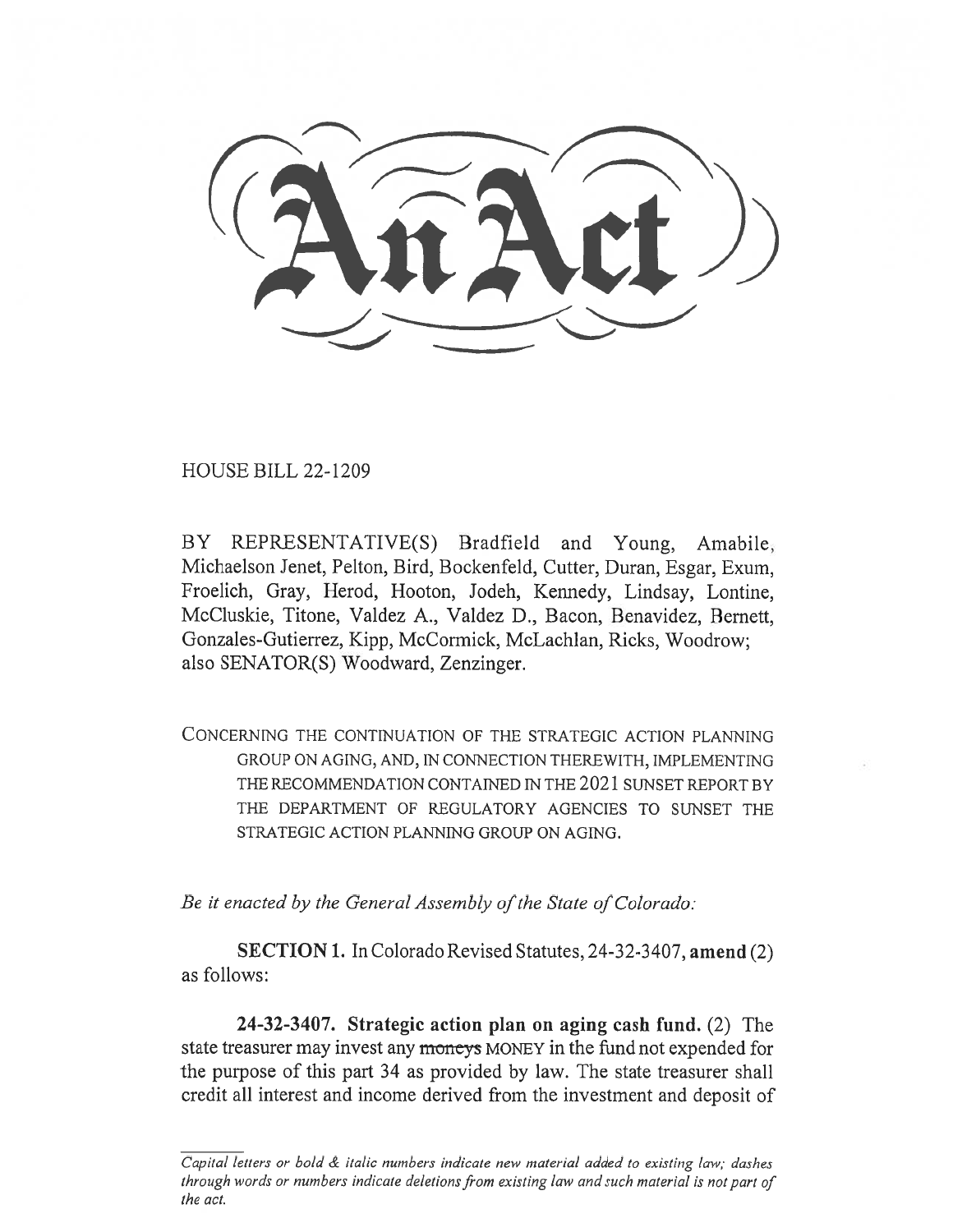HOUSE BILL 22-1209

BY REPRESENTATIVE(S) Bradfield and Young, Amabile, Michaelson Jenet, Pelton, Bird, Bockenfeld, Cutter, Duran, Esgar, Exum, Froelich, Gray, Herod, Hooton, Jodeh, Kennedy, Lindsay, Lontine, McCluskie, Titone, Valdez A., Valdez D., Bacon, Benavidez, Bernett, Gonzales-Gutierrez, Kipp, McCormick, McLachlan, Ricks, Woodrow; also SENATOR(S) Woodward, Zenzinger.

CONCERNING THE CONTINUATION OF THE STRATEGIC ACTION PLANNING GROUP ON AGING, AND, IN CONNECTION THEREWITH, IMPLEMENTING THE RECOMMENDATION CONTAINED IN THE 2021 SUNSET REPORT BY THE DEPARTMENT OF REGULATORY AGENCIES TO SUNSET THE STRATEGIC ACTION PLANNING GROUP ON AGING.

Be it enacted by the General Assembly of the State of Colorado:

SECTION 1. In Colorado Revised Statutes, 24-32-3407, amend (2) as follows:

24-32-3407. Strategic action plan on aging cash fund. (2) The state treasurer may invest any moneys MONEY in the fund not expended for the purpose of this part 34 as provided by law. The state treasurer shall credit all interest and income derived from the investment and deposit of

Capital letters or bold & italic numbers indicate new material added to existing law; dashes through words or numbers indicate deletions from existing law and such material is not part of the act.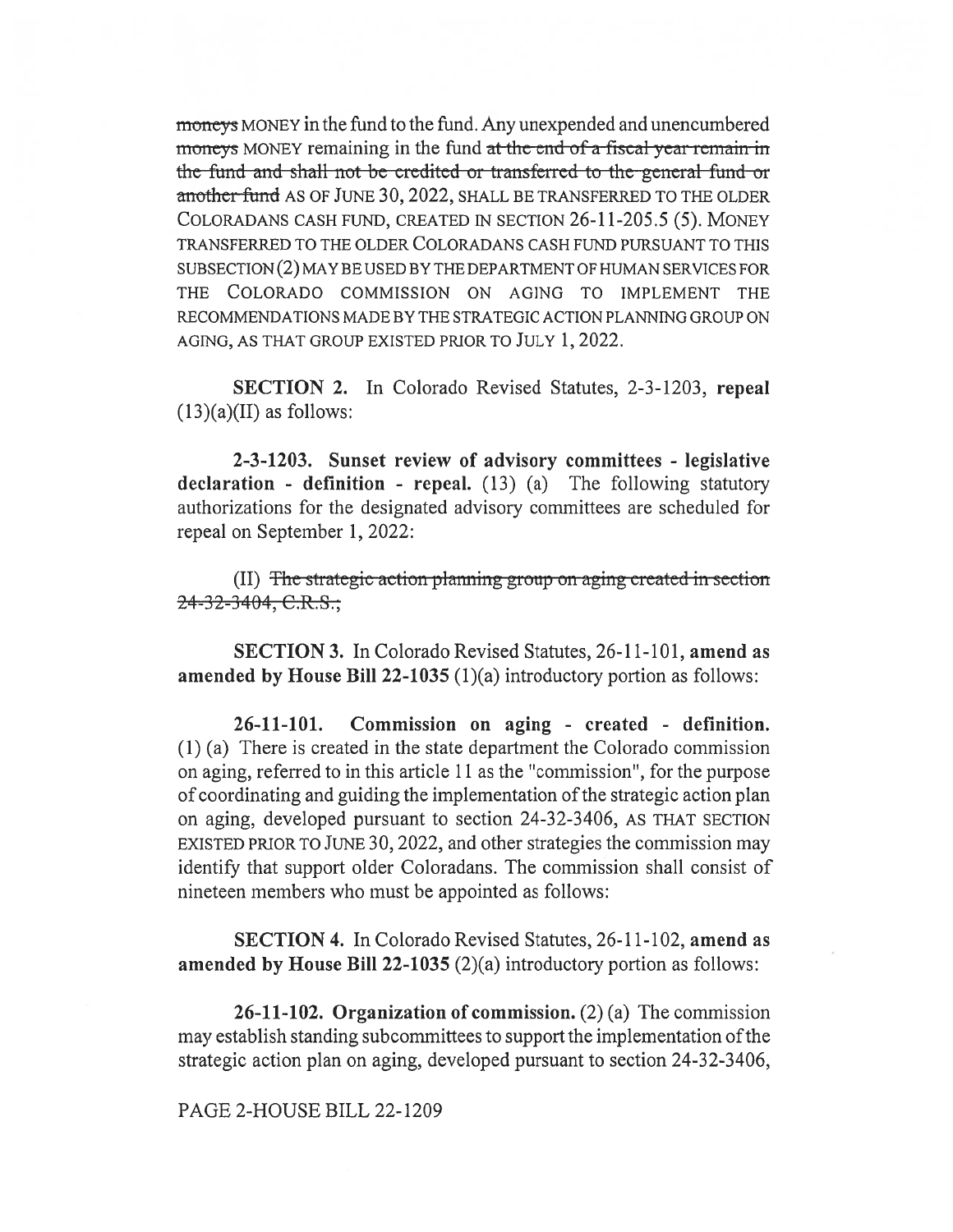moneys MONEY in the fund to the fund. Any unexpended and unencumbered moneys MONEY remaining in the fund at the end of a fiscal year remain in the-fund-and-shall-not-be-credited-or-transferred-to-the-general-fund-oranother fund AS OF JUNE 30, 2022, SHALL BE TRANSFERRED TO THE OLDER COLORADANS CASH FUND, CREATED IN SECTION 26-11-205.5 (5). MONEY TRANSFERRED TO THE OLDER COLORADANS CASH FUND PURSUANT TO THIS SUBSECTION (2) MAY BE USED BY THE DEPARTMENT OF HUMAN SERVICES FOR THE COLORADO COMMISSION ON AGING TO IMPLEMENT THE RECOMMENDATIONS MADE BY THE STRATEGIC ACTION PLANNING GROUP ON AGING, AS THAT GROUP EXISTED PRIOR TO JULY 1, 2022.

SECTION 2. In Colorado Revised Statutes, 2-3-1203, repeal  $(13)(a)(II)$  as follows:

2-3-1203. Sunset review of advisory committees - legislative declaration - definition - repeal.  $(13)$   $(a)$  The following statutory authorizations for the designated advisory committees are scheduled for repeal on September 1, 2022:

(II) The strategic action planning group on aging created in section 24-32-3404, C.R.S.;

SECTION 3. In Colorado Revised Statutes, 26-11-101, amend as amended by House Bill 22-1035 (1)(a) introductory portion as follows:

26-11-101. Commission on aging - created - definition. (1) (a) There is created in the state department the Colorado commission on aging, referred to in this article 11 as the "commission", for the purpose of coordinating and guiding the implementation of the strategic action plan on aging, developed pursuant to section 24-32-3406, AS THAT SECTION EXISTED PRIOR TO JUNE 30, 2022, and other strategies the commission may identify that support older Coloradans. The commission shall consist of nineteen members who must be appointed as follows:

SECTION 4. In Colorado Revised Statutes, 26-11-102, amend as amended by House Bill 22-1035 (2)(a) introductory portion as follows:

26-11-102. Organization of commission.  $(2)$  (a) The commission may establish standing subcommittees to support the implementation of the strategic action plan on aging, developed pursuant to section 24-32-3406,

PAGE 2-HOUSE BILL 22-1209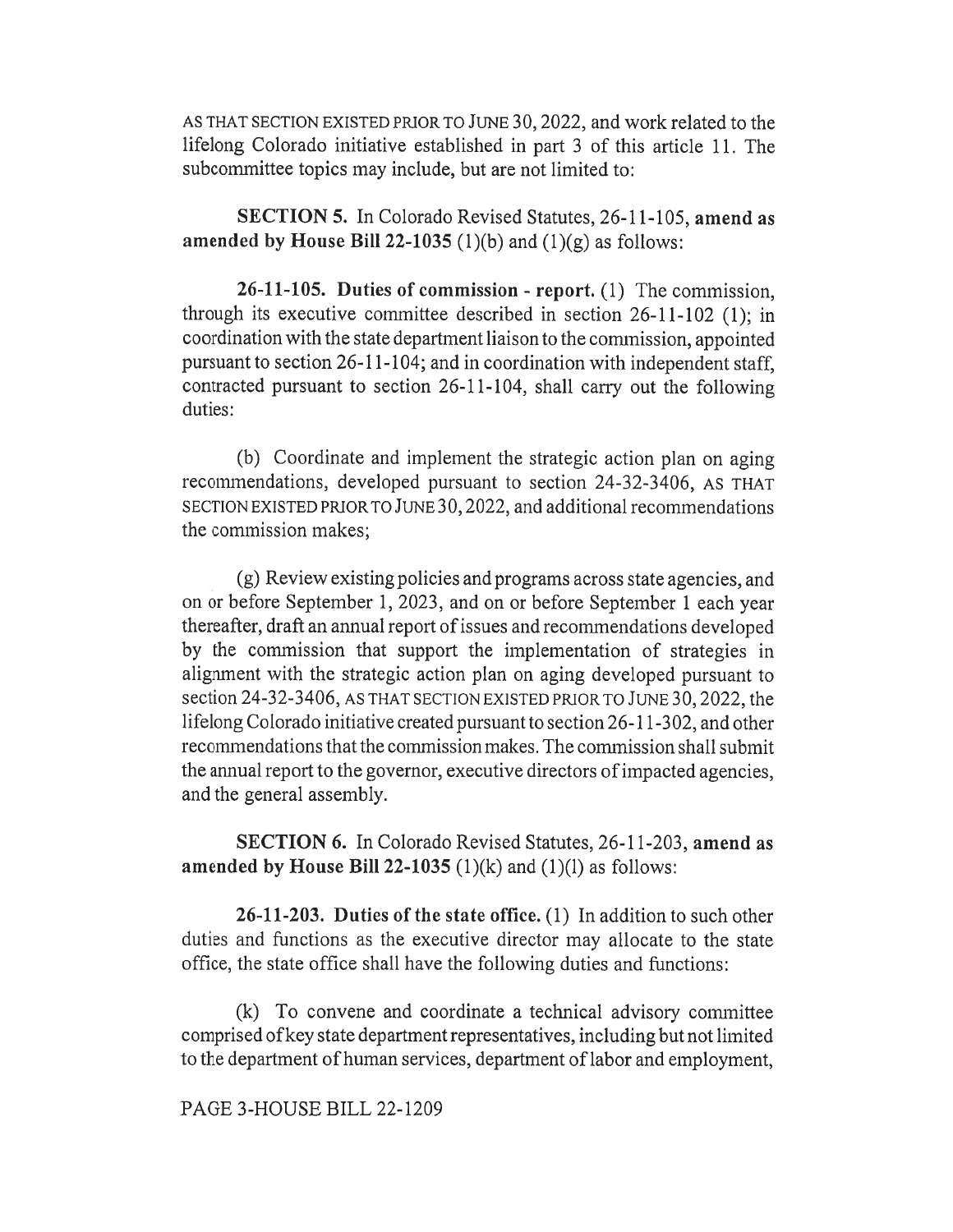AS THAT SECTION EXISTED PRIOR TO JUNE 30, 2022, and work related to the lifelong Colorado initiative established in part 3 of this article 11. The subcommittee topics may include, but are not limited to:

SECTION 5. In Colorado Revised Statutes, 26-11-105, amend as amended by House Bill 22-1035 (1)(b) and (1)(g) as follows:

26-11-105. Duties of commission - report. (1) The commission, through its executive committee described in section 26-11-102 (1); in coordination with the state department liaison to the commission, appointed pursuant to section 26-11-104; and in coordination with independent staff, contracted pursuant to section 26-11-104, shall carry out the following duties:

(b) Coordinate and implement the strategic action plan on aging recommendations, developed pursuant to section 24-32-3406, AS THAT SECTION EXISTED PRIOR TO JUNE 30, 2022, and additional recommendations the commission makes;

(g) Review existing policies and programs across state agencies, and on or before September 1, 2023, and on or before September 1 each year thereafter, draft an annual report of issues and recommendations developed by the commission that support the implementation of strategies in alignment with the strategic action plan on aging developed pursuant to section 24-32-3406, AS THAT SECTION EXISTED PRIOR TO JUNE 30, 2022, the lifelong Colorado initiative created pursuant to section 26-11-302, and other recommendations that the commission makes. The commission shall submit the annual report to the governor, executive directors of impacted agencies, and the general assembly.

SECTION 6. In Colorado Revised Statutes, 26-11-203, amend as amended by House Bill 22-1035  $(1)(k)$  and  $(1)(l)$  as follows:

26-11-203. Duties of the state office. (1) In addition to such other duties and functions as the executive director may allocate to the state office, the state office shall have the following duties and functions:

(k) To convene and coordinate a technical advisory committee comprised of key state department representatives, including but not limited to the department of human services, department of labor and employment,

## PAGE 3-HOUSE BILL 22-1209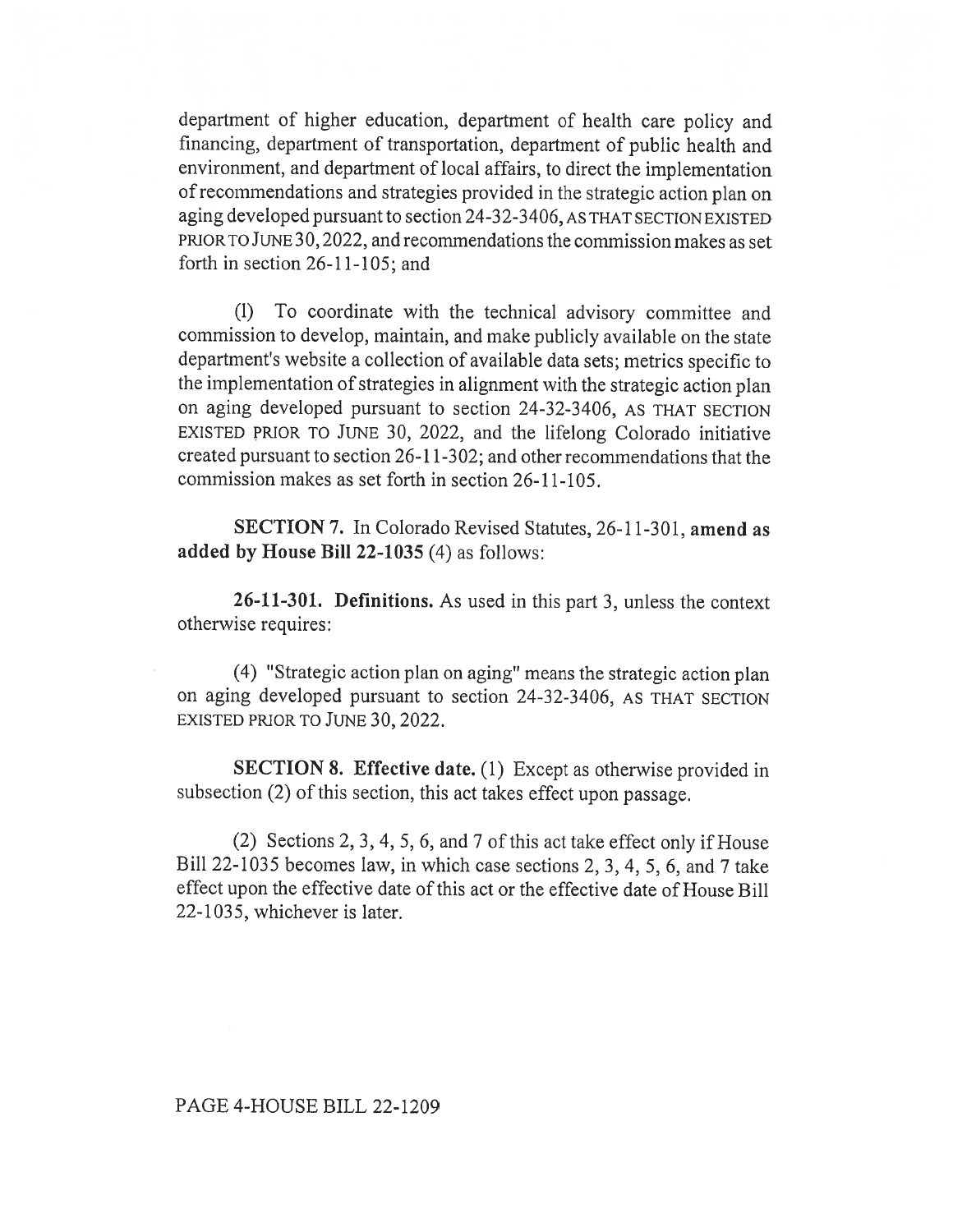department of higher education, department of health care policy and financing, department of transportation, department of public health and environment, and department of local affairs, to direct the implementation of recommendations and strategies provided in the strategic action plan on aging developed pursuant to section 24-32-3406, AS THAT SECTION EXISTED PRIOR TO JUNE 30, 2022, and recommendations the commission makes as set forth in section 26-11-105; and

(1) To coordinate with the technical advisory committee and commission to develop, maintain, and make publicly available on the state department's website a collection of available data sets; metrics specific to the implementation of strategies in alignment with the strategic action plan on aging developed pursuant to section 24-32-3406, AS THAT SECTION EXISTED PRIOR TO JUNE 30, 2022, and the lifelong Colorado initiative created pursuant to section 26-11-302; and other recommendations that the commission makes as set forth in section 26-11-105.

SECTION 7. In Colorado Revised Statutes, 26-11-301, amend as added by House Bill 22-1035 (4) as follows:

26-11-301. Definitions. As used in this part 3, unless the context otherwise requires:

(4) "Strategic action plan on aging" means the strategic action plan on aging developed pursuant to section 24-32-3406, AS THAT SECTION EXISTED PRIOR TO JUNE 30, 2022.

SECTION 8. Effective date. (1) Except as otherwise provided in subsection (2) of this section, this act takes effect upon passage.

(2) Sections 2, 3, 4, 5, 6, and 7 of this act take effect only if House Bill 22-1035 becomes law, in which case sections 2, 3, 4, 5, 6, and 7 take effect upon the effective date of this act or the effective date of House Bill 22-1035, whichever is later.